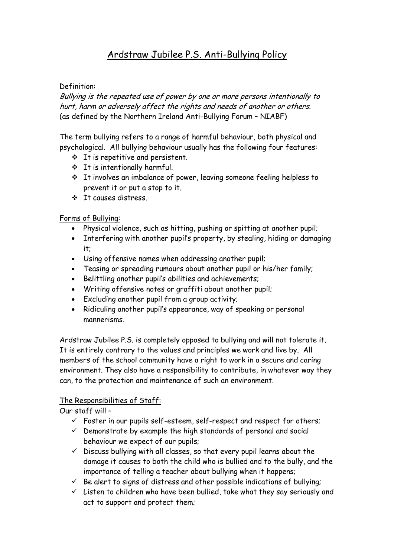# Ardstraw Jubilee P.S. Anti-Bullying Policy

#### Definition:

Bullying is the repeated use of power by one or more persons intentionally to hurt, harm or adversely affect the rights and needs of another or others. (as defined by the Northern Ireland Anti-Bullying Forum – NIABF)

The term bullying refers to a range of harmful behaviour, both physical and psychological. All bullying behaviour usually has the following four features:

- $\div$  It is repetitive and persistent.
- It is intentionally harmful.
- It involves an imbalance of power, leaving someone feeling helpless to prevent it or put a stop to it.
- It causes distress.

Forms of Bullying:

- Physical violence, such as hitting, pushing or spitting at another pupil;
- Interfering with another pupil's property, by stealing, hiding or damaging it;
- Using offensive names when addressing another pupil;
- Teasing or spreading rumours about another pupil or his/her family;
- Belittling another pupil's abilities and achievements;
- Writing offensive notes or graffiti about another pupil;
- Excluding another pupil from a group activity;
- Ridiculing another pupil's appearance, way of speaking or personal mannerisms.

Ardstraw Jubilee P.S. is completely opposed to bullying and will not tolerate it. It is entirely contrary to the values and principles we work and live by. All members of the school community have a right to work in a secure and caring environment. They also have a responsibility to contribute, in whatever way they can, to the protection and maintenance of such an environment.

## The Responsibilities of Staff:

Our staff will –

- $\checkmark$  Foster in our pupils self-esteem, self-respect and respect for others;
- $\checkmark$  Demonstrate by example the high standards of personal and social behaviour we expect of our pupils;
- $\checkmark$  Discuss bullying with all classes, so that every pupil learns about the damage it causes to both the child who is bullied and to the bully, and the importance of telling a teacher about bullying when it happens;
- $\checkmark$  Be alert to signs of distress and other possible indications of bullying;
- $\checkmark$  Listen to children who have been bullied, take what they say seriously and act to support and protect them;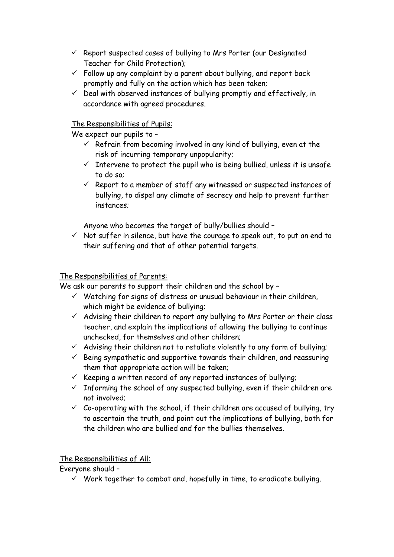- $\checkmark$  Report suspected cases of bullying to Mrs Porter (our Designated Teacher for Child Protection);
- $\checkmark$  Follow up any complaint by a parent about bullying, and report back promptly and fully on the action which has been taken;
- $\checkmark$  Deal with observed instances of bullying promptly and effectively, in accordance with agreed procedures.

## The Responsibilities of Pupils:

We expect our pupils to -

- $\checkmark$  Refrain from becoming involved in any kind of bullying, even at the risk of incurring temporary unpopularity;
- $\checkmark$  Intervene to protect the pupil who is being bullied, unless it is unsafe to do so;
- $\checkmark$  Report to a member of staff any witnessed or suspected instances of bullying, to dispel any climate of secrecy and help to prevent further instances;

Anyone who becomes the target of bully/bullies should –

 $\checkmark$  Not suffer in silence, but have the courage to speak out, to put an end to their suffering and that of other potential targets.

# The Responsibilities of Parents:

We ask our parents to support their children and the school by -

- $\checkmark$  Watching for signs of distress or unusual behaviour in their children, which might be evidence of bullying;
- $\checkmark$  Advising their children to report any bullying to Mrs Porter or their class teacher, and explain the implications of allowing the bullying to continue unchecked, for themselves and other children;
- $\checkmark$  Advising their children not to retaliate violently to any form of bullying;
- $\checkmark$  Being sympathetic and supportive towards their children, and reassuring them that appropriate action will be taken;
- $\checkmark$  Keeping a written record of any reported instances of bullying;
- $\checkmark$  Informing the school of any suspected bullying, even if their children are not involved;
- $\checkmark$  Co-operating with the school, if their children are accused of bullying, try to ascertain the truth, and point out the implications of bullying, both for the children who are bullied and for the bullies themselves.

The Responsibilities of All:

Everyone should –

 $\checkmark$  Work together to combat and, hopefully in time, to eradicate bullying.